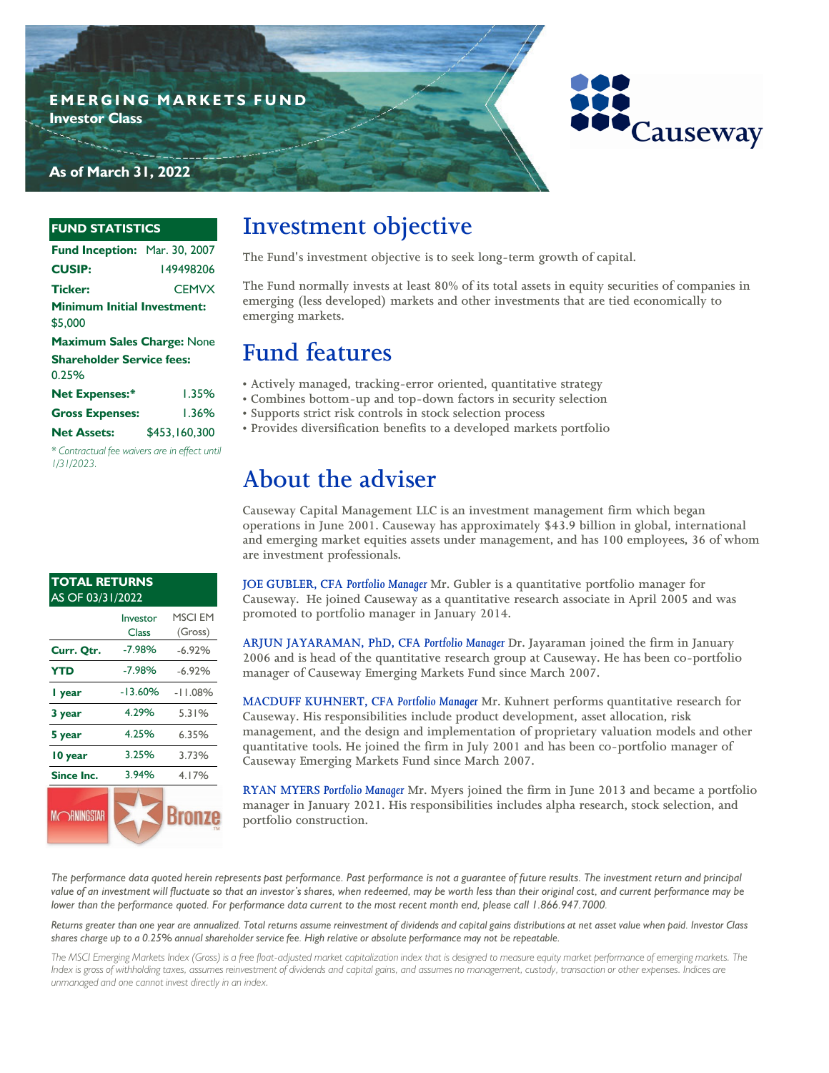



#### **FUND STATISTICS**

| Fund Inception: Mar. 30, 2007                 |               |
|-----------------------------------------------|---------------|
| <b>CUSIP:</b>                                 | 149498206     |
| <b>Ticker:</b>                                | <b>CEMVX</b>  |
| <b>Minimum Initial Investment:</b><br>\$5.000 |               |
| <b>Maximum Sales Charge: None</b>             |               |
| <b>Shareholder Service fees:</b><br>0.25%     |               |
| <b>Net Expenses:*</b>                         | 1.35%         |
| <b>Gross Expenses:</b>                        | 1.36%         |
| <b>Net Assets:</b>                            | \$453.160.300 |

*\* Contractual fee waivers are in effect until 1/31/2023.*

#### **TOTAL RETURNS**  AS OF 03/31/2022 Investor MSCI EM Class (Gross) **Curr. Qtr.** -7.98% -6.92% -7.98% **YTD** -7.98% -6.92% -13.60% **1 year** -13.60% -11.08% **3 year** 4.29% 5.31% 4.29% **5 year** 4.25% 6.35% 4.25% 3.25% **10 year** 3.73% 3.94% **Since Inc.** 3.94% 4.17% **SRNINGST** Bronze

# **Investment objective**

**The Fund's investment objective is to seek long-term growth of capital.** 

**The Fund normally invests at least 80% of its total assets in equity securities of companies in emerging (less developed) markets and other investments that are tied economically to emerging markets.**

# **Fund features**

- **Actively managed, tracking-error oriented, quantitative strategy**
- **Combines bottom-up and top-down factors in security selection**
- **Supports strict risk controls in stock selection process**
- **Provides diversification benefits to a developed markets portfolio**

# **About the adviser**

**Causeway Capital Management LLC is an investment management firm which began operations in June 2001. Causeway has approximately \$43.9 billion in global, international and emerging market equities assets under management, and has 100 employees, 36 of whom are investment professionals.** 

**JOE GUBLER, CFA** *Portfolio Manager* **Mr. Gubler is a quantitative portfolio manager for Causeway. He joined Causeway as a quantitative research associate in April 2005 and was promoted to portfolio manager in January 2014.**

**ARJUN JAYARAMAN, PhD, CFA** *Portfolio Manager* **Dr. Jayaraman joined the firm in January 2006 and is head of the quantitative research group at Causeway. He has been co-portfolio manager of Causeway Emerging Markets Fund since March 2007.**

**MACDUFF KUHNERT, CFA** *Portfolio Manager* **Mr. Kuhnert performs quantitative research for Causeway. His responsibilities include product development, asset allocation, risk management, and the design and implementation of proprietary valuation models and other quantitative tools. He joined the firm in July 2001 and has been co-portfolio manager of Causeway Emerging Markets Fund since March 2007.**

**RYAN MYERS** *Portfolio Manager* **Mr. Myers joined the firm in June 2013 and became a portfolio manager in January 2021. His responsibilities includes alpha research, stock selection, and portfolio construction.** 

*The performance data quoted herein represents past performance. Past performance is not a guarantee of future results. The investment return and principal value of an investment will fluctuate so that an investor's shares, when redeemed, may be worth less than their original cost, and current performance may be lower than the performance quoted. For performance data current to the most recent month end, please call 1.866.947.7000.* 

*Returns greater than one year are annualized. Total returns assume reinvestment of dividends and capital gains distributions at net asset value when paid. Investor Class shares charge up to a 0.25% annual shareholder service fee. High relative or absolute performance may not be repeatable.*

*The MSCI Emerging Markets Index (Gross) is a free float-adjusted market capitalization index that is designed to measure equity market performance of emerging markets. The Index is gross of withholding taxes, assumes reinvestment of dividends and capital gains, and assumes no management, custody, transaction or other expenses. Indices are unmanaged and one cannot invest directly in an index.*